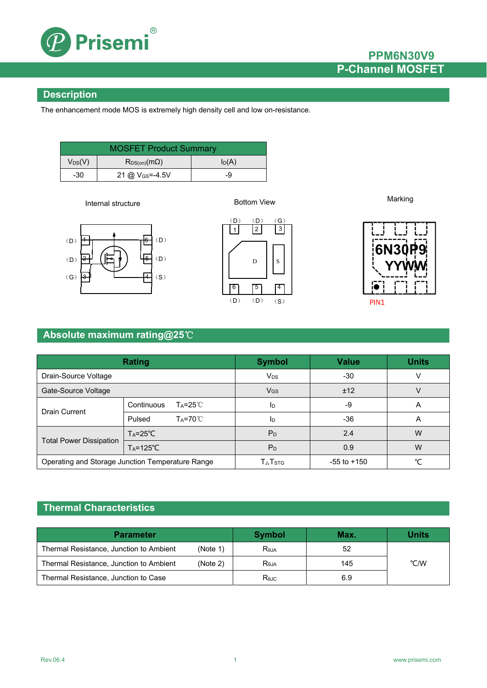

### **PPM6N30V9 P-Channel MOSFET**

### **Description**

The enhancement mode MOS is extremely high density cell and low on-resistance.

| <b>MOSFET Product Summary</b>          |                                                  |          |  |  |
|----------------------------------------|--------------------------------------------------|----------|--|--|
| $\mathsf{V}_{\mathsf{DS}}(\mathsf{V})$ | $\mathsf{R}_{\mathsf{DS}(on)}(\mathsf{m}\Omega)$ | $I_D(A)$ |  |  |
| -30                                    | 21 @ V <sub>GS</sub> =-4.5V                      | -9       |  |  |

Internal structure

Bottom View

Marking







PIN1

### **Absolute maximum rating@25**℃

| <b>Rating</b>                                    |                                  | <b>Symbol</b>                     | <b>Value</b>    | <b>Units</b> |
|--------------------------------------------------|----------------------------------|-----------------------------------|-----------------|--------------|
| Drain-Source Voltage                             |                                  | <b>V<sub>DS</sub></b>             | $-30$           |              |
| Gate-Source Voltage                              |                                  | $V_{GS}$                          | ±12             |              |
| <b>Drain Current</b>                             | Continuous<br>$Ta = 25^{\circ}C$ | ID                                | -9              | A            |
|                                                  | $Ta=70^{\circ}$<br>Pulsed        | ID                                | $-36$           | A            |
| <b>Total Power Dissipation</b>                   | $T_A = 25^{\circ}C$              | $P_D$                             | 2.4             | W            |
|                                                  | $T_A = 125^{\circ}C$             | P <sub>D</sub>                    | 0.9             | W            |
| Operating and Storage Junction Temperature Range |                                  | $T_{J,}\mathsf{T}_{\mathsf{STG}}$ | $-55$ to $+150$ | $\sim$       |

### **Thermal Characteristics**

| <b>Parameter</b>                        |          | Symbol         | Max. | <b>Units</b> |
|-----------------------------------------|----------|----------------|------|--------------|
| Thermal Resistance, Junction to Ambient | (Note 1) | <b>Reja</b>    | 52   |              |
| Thermal Resistance, Junction to Ambient | (Note 2) | Reja           | 145  | °C/W         |
| Thermal Resistance, Junction to Case    |          | $R_{\theta$ JC | 6.9  |              |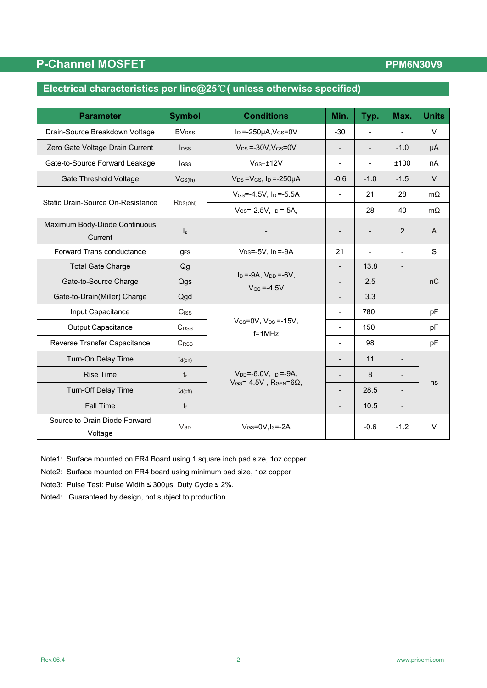## **P-Channel MOSFET**

### **PPM6N30V9**

## **Electrical characteristics per line@25**℃**( unless otherwise specified)**

| <b>Parameter</b>                         | <b>Symbol</b>            | <b>Conditions</b>                                                    | Min.                     | Typ.                     | Max.                     | <b>Units</b>   |
|------------------------------------------|--------------------------|----------------------------------------------------------------------|--------------------------|--------------------------|--------------------------|----------------|
| Drain-Source Breakdown Voltage           | <b>BV</b> <sub>DSS</sub> | $I_D = -250\mu A$ , $V_{GS} = 0V$                                    | $-30$                    | $\blacksquare$           |                          | $\vee$         |
| Zero Gate Voltage Drain Current          | $\mathsf{loss}$          | $V_{DS} = -30V$ , $V_{GS} = 0V$                                      | $\blacksquare$           | $\blacksquare$           | $-1.0$                   | μA             |
| Gate-to-Source Forward Leakage           | lgss                     | $V$ <sub>GS</sub> $=$ $±12V$                                         | $\overline{\phantom{0}}$ | $\overline{\phantom{0}}$ | ±100                     | nA             |
| <b>Gate Threshold Voltage</b>            | $V_{GS(th)}$             | $V_{DS} = V_{GS}$ , $I_D = -250 \mu A$                               | $-0.6$                   | $-1.0$                   | $-1.5$                   | $\vee$         |
|                                          |                          | $V_{GS} = -4.5V$ , $I_D = -5.5A$                                     | $\overline{a}$           | 21                       | 28                       | $m\Omega$      |
| Static Drain-Source On-Resistance        | $R_{DS(ON)}$             | $V_{GS} = -2.5V$ , $I_D = -5A$ ,                                     | $\overline{\phantom{0}}$ | 28                       | 40                       | $m\Omega$      |
| Maximum Body-Diode Continuous<br>Current | $\mathsf{I}_\mathsf{S}$  |                                                                      | $\overline{\phantom{a}}$ | $\blacksquare$           | 2                        | $\overline{A}$ |
| <b>Forward Trans conductance</b>         | <b>gFS</b>               | $V_{DS} = -5V$ , $I_D = -9A$                                         | 21                       | $\blacksquare$           | $\blacksquare$           | S              |
| <b>Total Gate Charge</b>                 | Qg                       |                                                                      |                          | 13.8                     | $\overline{\phantom{0}}$ | nC             |
| Gate-to-Source Charge                    | Qgs                      | $I_D = -9A$ , $V_{DD} = -6V$ ,<br>$V$ <sub>GS</sub> = -4.5V          | $\overline{a}$           | 2.5                      |                          |                |
| Gate-to-Drain(Miller) Charge             | Qgd                      |                                                                      |                          | 3.3                      |                          |                |
| Input Capacitance                        | $C$ <sub>ISS</sub>       |                                                                      | $\overline{\phantom{a}}$ | 780                      |                          | pF             |
| <b>Output Capacitance</b>                | C <sub>DSS</sub>         | $V_{GS}=0V$ , $V_{DS}=15V$ ,<br>$f = 1$ MHz                          | $\blacksquare$           | 150                      |                          | pF             |
| Reverse Transfer Capacitance             | CRSS                     |                                                                      |                          | 98                       |                          | pF             |
| Turn-On Delay Time                       | $t_{d(on)}$              |                                                                      |                          | 11                       |                          |                |
| <b>Rise Time</b>                         | $t_{r}$                  | $V_{DD} = -6.0 V$ , $I_D = -9A$ ,<br>$V$ GS=-4.5V, RGEN=6 $\Omega$ , | $\overline{a}$           | 8                        |                          | ns             |
| Turn-Off Delay Time                      | $t_{d(off)}$             |                                                                      |                          | 28.5                     |                          |                |
| <b>Fall Time</b>                         | $t_f$                    |                                                                      |                          | 10.5                     | $\overline{\phantom{0}}$ |                |
| Source to Drain Diode Forward<br>Voltage | <b>V<sub>SD</sub></b>    | $V$ <sub>GS</sub> =0V, I <sub>S</sub> =-2A                           |                          | $-0.6$                   | $-1.2$                   | $\vee$         |

Note1: Surface mounted on FR4 Board using 1 square inch pad size, 1oz copper

Note2: Surface mounted on FR4 board using minimum pad size, 1oz copper

Note3: Pulse Test: Pulse Width ≤ 300μs, Duty Cycle ≤ 2%.

Note4: Guaranteed by design, not subject to production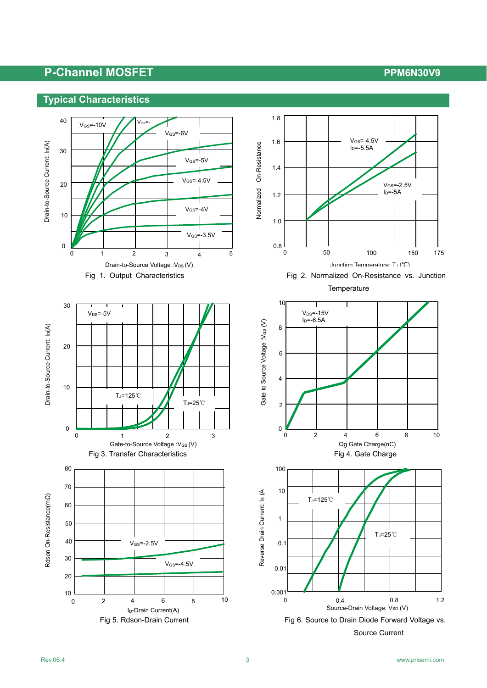# P-Channel MOSFET **P-Channel MOSFET**



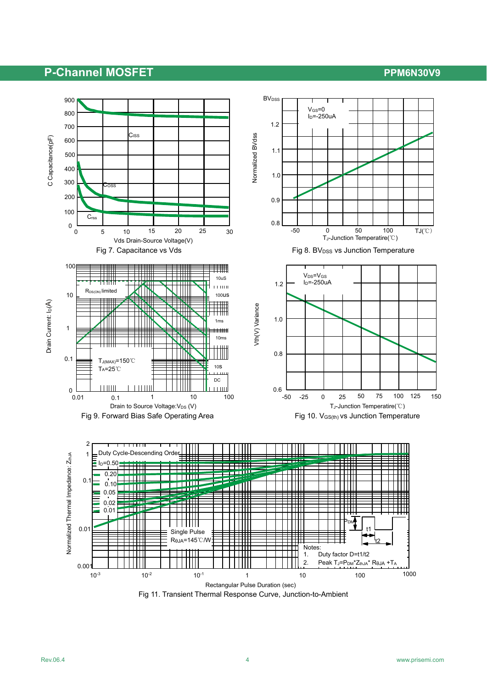### **P-Channel MOSFET P-Channel MOSFET**



Fig 11. Transient Thermal Response Curve, Junction-to-Ambient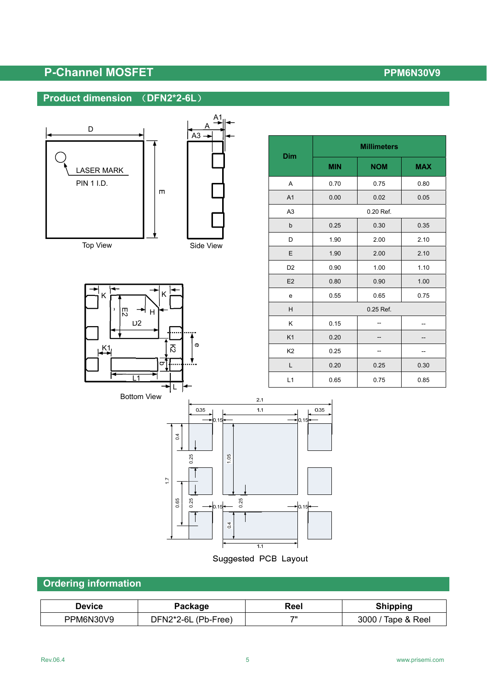# P-Channel MOSFET **P-Channel MOSFET**

# **Product dimension** (**DFN2\*2-6L**)





Top View





| Dim            | <b>Millimeters</b> |            |            |  |
|----------------|--------------------|------------|------------|--|
|                | <b>MIN</b>         | <b>NOM</b> | <b>MAX</b> |  |
| A              | 0.70               | 0.75       | 0.80       |  |
| A <sub>1</sub> | 0.00               | 0.02       | 0.05       |  |
| A3             | 0.20 Ref.          |            |            |  |
| b              | 0.25               | 0.30       | 0.35       |  |
| D              | 1.90               | 2.00       | 2.10       |  |
| E              | 1.90               | 2.00       | 2.10       |  |
| D <sub>2</sub> | 0.90               | 1.00       | 1.10       |  |
| E2             | 0.80               | 0.90       | 1.00       |  |
| e              | 0.55               | 0.65       | 0.75       |  |
| Н              | 0.25 Ref.          |            |            |  |
| Κ              | 0.15               |            |            |  |
| K1             | 0.20               |            |            |  |
| K <sub>2</sub> | 0.25               |            |            |  |
| L              | 0.20               | 0.25       | 0.30       |  |
| L1             | 0.65               | 0.75       | 0.85       |  |



## **Ordering information**

| Device    | Package             | Reel | <b>Shipping</b>    |
|-----------|---------------------|------|--------------------|
| PPM6N30V9 | DFN2*2-6L (Pb-Free) | フリ   | 3000 / Tape & Reel |